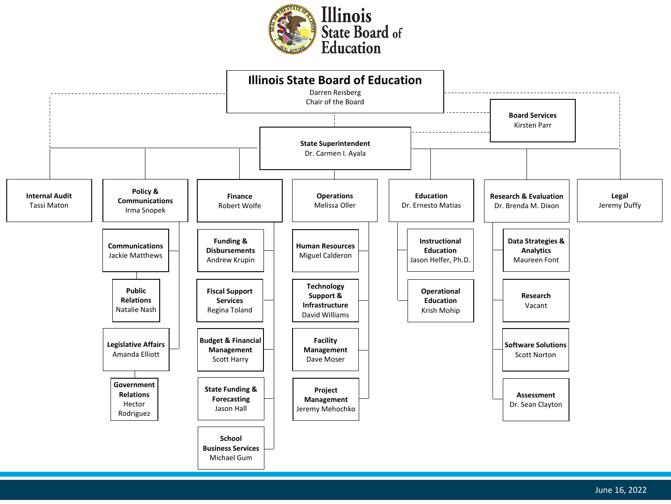